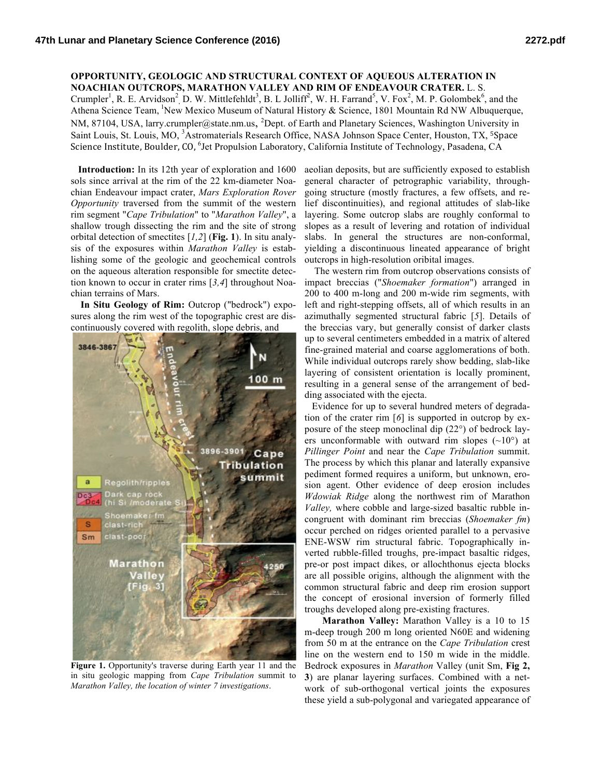## **OPPORTUNITY, GEOLOGIC AND STRUCTURAL CONTEXT OF AQUEOUS ALTERATION IN NOACHIAN OUTCROPS, MARATHON VALLEY AND RIM OF ENDEAVOUR CRATER.** L. S.

Crumpler<sup>1</sup>, R. E. Arvidson<sup>2</sup>, D. W. Mittlefehldt<sup>3</sup>, B. L Jolliff<sup>2</sup>, W. H. Farrand<sup>5</sup>, V. Fox<sup>2</sup>, M. P. Golombek<sup>6</sup>, and the Athena Science Team, <sup>1</sup>New Mexico Museum of Natural History & Science, 1801 Mountain Rd NW Albuquerque, NM, 87104, USA, larry.crumpler@state.nm.us, <sup>2</sup>Dept. of Earth and Planetary Sciences, Washington University in Saint Louis, St. Louis, MO, <sup>3</sup>Astromaterials Research Office, NASA Johnson Space Center, Houston, TX, <sup>5</sup>Space Science Institute, Boulder, CO, <sup>6</sup>Jet Propulsion Laboratory, California Institute of Technology, Pasadena, CA

 **Introduction:** In its 12th year of exploration and 1600 sols since arrival at the rim of the 22 km-diameter Noachian Endeavour impact crater, *Mars Exploration Rover Opportunity* traversed from the summit of the western rim segment "*Cape Tribulation*" to "*Marathon Valley*", a shallow trough dissecting the rim and the site of strong orbital detection of smectites [*1,2*] (**Fig. 1**). In situ analysis of the exposures within *Marathon Valley* is establishing some of the geologic and geochemical controls on the aqueous alteration responsible for smectite detection known to occur in crater rims [*3,4*] throughout Noachian terrains of Mars.

 **In Situ Geology of Rim:** Outcrop ("bedrock") exposures along the rim west of the topographic crest are discontinuously covered with regolith, slope debris, and



Figure 1. Opportunity's traverse during Earth year 11 and the in situ geologic mapping from *Cape Tribulation* summit to *Marathon Valley, the location of winter 7 investigations*.

aeolian deposits, but are sufficiently exposed to establish general character of petrographic variability, throughgoing structure (mostly fractures, a few offsets, and relief discontinuities), and regional attitudes of slab-like layering. Some outcrop slabs are roughly conformal to slopes as a result of levering and rotation of individual slabs. In general the structures are non-conformal, yielding a discontinuous lineated appearance of bright outcrops in high-resolution oribital images.

The western rim from outcrop observations consists of impact breccias ("*Shoemaker formation*") arranged in 200 to 400 m-long and 200 m-wide rim segments, with left and right-stepping offsets, all of which results in an azimuthally segmented structural fabric [*5*]. Details of the breccias vary, but generally consist of darker clasts up to several centimeters embedded in a matrix of altered fine-grained material and coarse agglomerations of both. While individual outcrops rarely show bedding, slab-like layering of consistent orientation is locally prominent, resulting in a general sense of the arrangement of bedding associated with the ejecta.

Evidence for up to several hundred meters of degradation of the crater rim [*6*] is supported in outcrop by exposure of the steep monoclinal dip (22°) of bedrock layers unconformable with outward rim slopes  $(\sim 10^{\circ})$  at *Pillinger Point* and near the *Cape Tribulation* summit. The process by which this planar and laterally expansive pediment formed requires a uniform, but unknown, erosion agent. Other evidence of deep erosion includes *Wdowiak Ridge* along the northwest rim of Marathon *Valley,* where cobble and large-sized basaltic rubble incongruent with dominant rim breccias (*Shoemaker fm*) occur perched on ridges oriented parallel to a pervasive ENE-WSW rim structural fabric. Topographically inverted rubble-filled troughs, pre-impact basaltic ridges, pre-or post impact dikes, or allochthonus ejecta blocks are all possible origins, although the alignment with the common structural fabric and deep rim erosion support the concept of erosional inversion of formerly filled troughs developed along pre-existing fractures.

**Marathon Valley:** Marathon Valley is a 10 to 15 m-deep trough 200 m long oriented N60E and widening from 50 m at the entrance on the *Cape Tribulation* crest line on the western end to 150 m wide in the middle. Bedrock exposures in *Marathon* Valley (unit Sm, **Fig 2, 3**) are planar layering surfaces. Combined with a network of sub-orthogonal vertical joints the exposures these yield a sub-polygonal and variegated appearance of